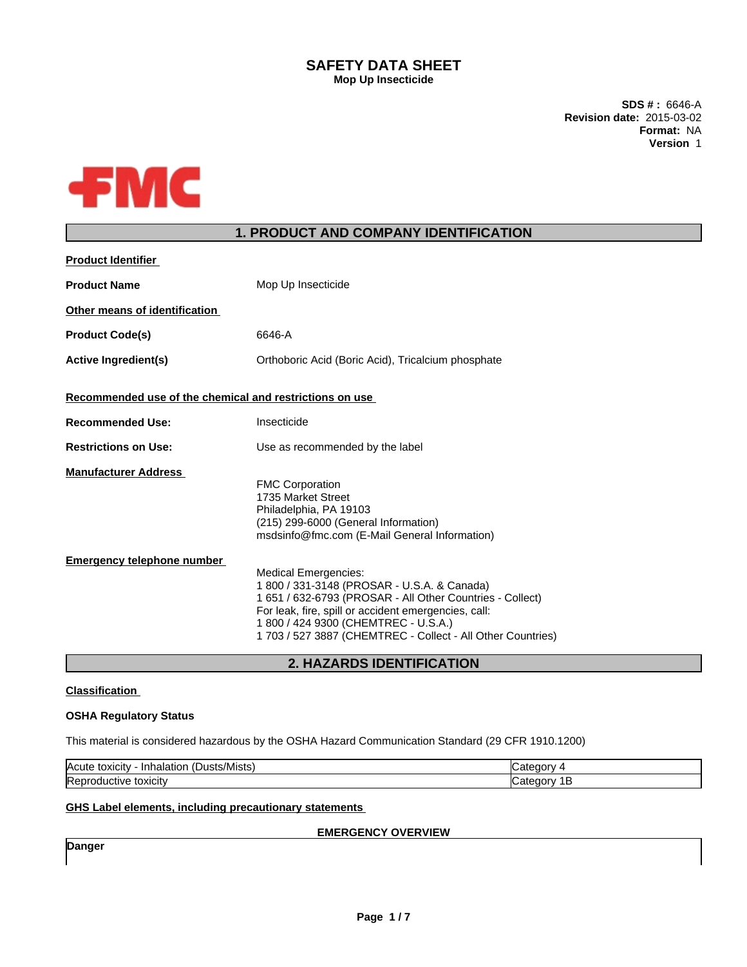## **SAFETY DATA SHEET Mop Up Insecticide**

**SDS # :** 6646-A **Revision date:** 2015-03-02 **Format:** NA **Version** 1



# **1. PRODUCT AND COMPANY IDENTIFICATION**

| <b>Product Identifier</b>                                 |                                                                                                                                                                                                                                                                                                                                                                                                                                                                          |
|-----------------------------------------------------------|--------------------------------------------------------------------------------------------------------------------------------------------------------------------------------------------------------------------------------------------------------------------------------------------------------------------------------------------------------------------------------------------------------------------------------------------------------------------------|
| <b>Product Name</b>                                       | Mop Up Insecticide                                                                                                                                                                                                                                                                                                                                                                                                                                                       |
| Other means of identification                             |                                                                                                                                                                                                                                                                                                                                                                                                                                                                          |
| <b>Product Code(s)</b>                                    | 6646-A                                                                                                                                                                                                                                                                                                                                                                                                                                                                   |
| <b>Active Ingredient(s)</b>                               | Orthoboric Acid (Boric Acid), Tricalcium phosphate                                                                                                                                                                                                                                                                                                                                                                                                                       |
| Recommended use of the chemical and restrictions on use   |                                                                                                                                                                                                                                                                                                                                                                                                                                                                          |
| <b>Recommended Use:</b>                                   | Insecticide                                                                                                                                                                                                                                                                                                                                                                                                                                                              |
| <b>Restrictions on Use:</b>                               | Use as recommended by the label                                                                                                                                                                                                                                                                                                                                                                                                                                          |
| <b>Manufacturer Address</b><br>Emergency telephone number | <b>FMC Corporation</b><br>1735 Market Street<br>Philadelphia, PA 19103<br>(215) 299-6000 (General Information)<br>msdsinfo@fmc.com (E-Mail General Information)<br><b>Medical Emergencies:</b><br>1 800 / 331-3148 (PROSAR - U.S.A. & Canada)<br>1 651 / 632-6793 (PROSAR - All Other Countries - Collect)<br>For leak, fire, spill or accident emergencies, call:<br>1800 / 424 9300 (CHEMTREC - U.S.A.)<br>1 703 / 527 3887 (CHEMTREC - Collect - All Other Countries) |

**2. HAZARDS IDENTIFICATION**

### **Classification**

### **OSHA Regulatory Status**

This material is considered hazardous by the OSHA Hazard Communication Standard (29 CFR 1910.1200)

| .<br><b>Acute</b><br>'s/Mists<br>$+0.2101$<br><b>I</b> in F<br>alatiol<br><b>TOXICITV</b><br>л<br>- INT<br><u>ы.</u> |  |
|----------------------------------------------------------------------------------------------------------------------|--|
| lRe<br>oxicitv<br>10 <sup>4</sup>                                                                                    |  |

### **GHS Label elements, including precautionary statements**

### **EMERGENCY OVERVIEW**

**Danger**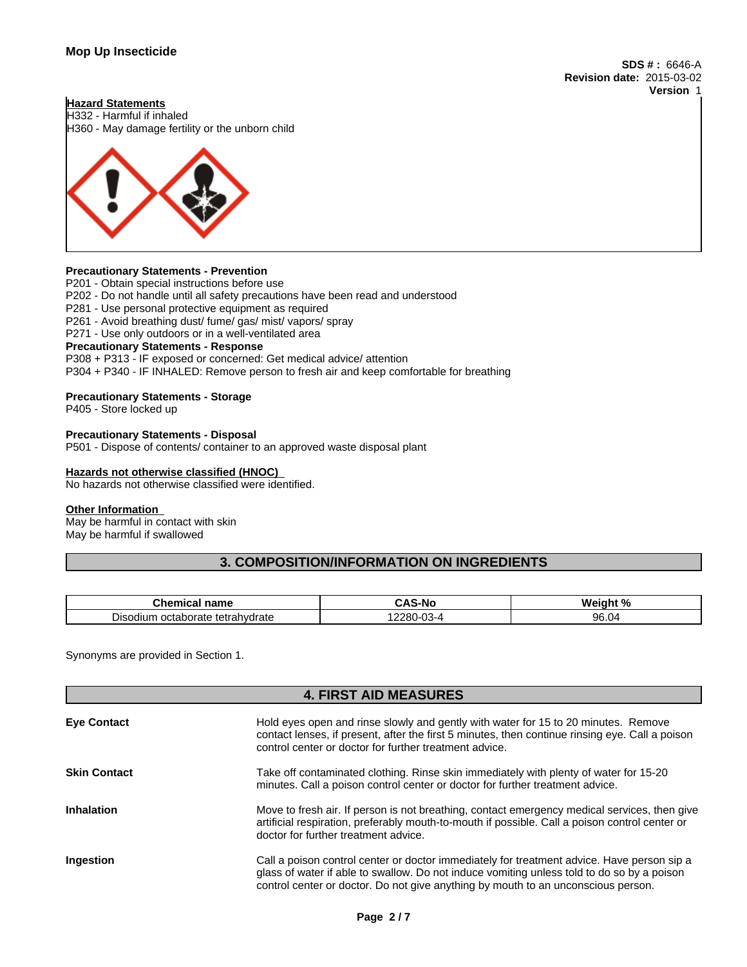**SDS # :** 6646-A **Revision date:** 2015-03-02 **Version** 1

#### **Hazard Statements**

H332 - Harmful if inhaled H360 - May damage fertility or the unborn child



#### **Precautionary Statements - Prevention**

P201 - Obtain special instructions before use P202 - Do not handle until all safety precautions have been read and understood P281 - Use personal protective equipment as required P261 - Avoid breathing dust/ fume/ gas/ mist/ vapors/ spray P271 - Use only outdoors or in a well-ventilated area **Precautionary Statements - Response** P308 + P313 - IF exposed or concerned: Get medical advice/ attention P304 + P340 - IF INHALED: Remove person to fresh air and keep comfortable for breathing

#### **Precautionary Statements - Storage**

P405 - Store locked up

#### **Precautionary Statements - Disposal**

P501 - Dispose of contents/ container to an approved waste disposal plant

#### **Hazards not otherwise classified (HNOC)**

No hazards not otherwise classified were identified.

# **Other Information**

May be harmful in contact with skin May be harmful if swallowed

## **3. COMPOSITION/INFORMATION ON INGREDIENTS**

| name<br>≅mica.<br>…ne∵                      | . .                                           | 1. N J<br>N۵<br>. <del>.</del>                        |
|---------------------------------------------|-----------------------------------------------|-------------------------------------------------------|
| -<br>octaborate<br>Disodium<br>tetrahydrate | nnnn<br>$\sim$<br>◡<br>$-1$<br>-<br>-uu<br>u. | $\sim$<br>$\overline{\phantom{0}}$<br>.<br>.<br>ອບ.ບ″ |

Synonyms are provided in Section 1.

# **4. FIRST AID MEASURES**

| <b>Eye Contact</b>  | Hold eyes open and rinse slowly and gently with water for 15 to 20 minutes. Remove<br>contact lenses, if present, after the first 5 minutes, then continue rinsing eye. Call a poison<br>control center or doctor for further treatment advice.                               |
|---------------------|-------------------------------------------------------------------------------------------------------------------------------------------------------------------------------------------------------------------------------------------------------------------------------|
| <b>Skin Contact</b> | Take off contaminated clothing. Rinse skin immediately with plenty of water for 15-20<br>minutes. Call a poison control center or doctor for further treatment advice.                                                                                                        |
| <b>Inhalation</b>   | Move to fresh air. If person is not breathing, contact emergency medical services, then give<br>artificial respiration, preferably mouth-to-mouth if possible. Call a poison control center or<br>doctor for further treatment advice.                                        |
| Ingestion           | Call a poison control center or doctor immediately for treatment advice. Have person sip a<br>glass of water if able to swallow. Do not induce vomiting unless told to do so by a poison<br>control center or doctor. Do not give anything by mouth to an unconscious person. |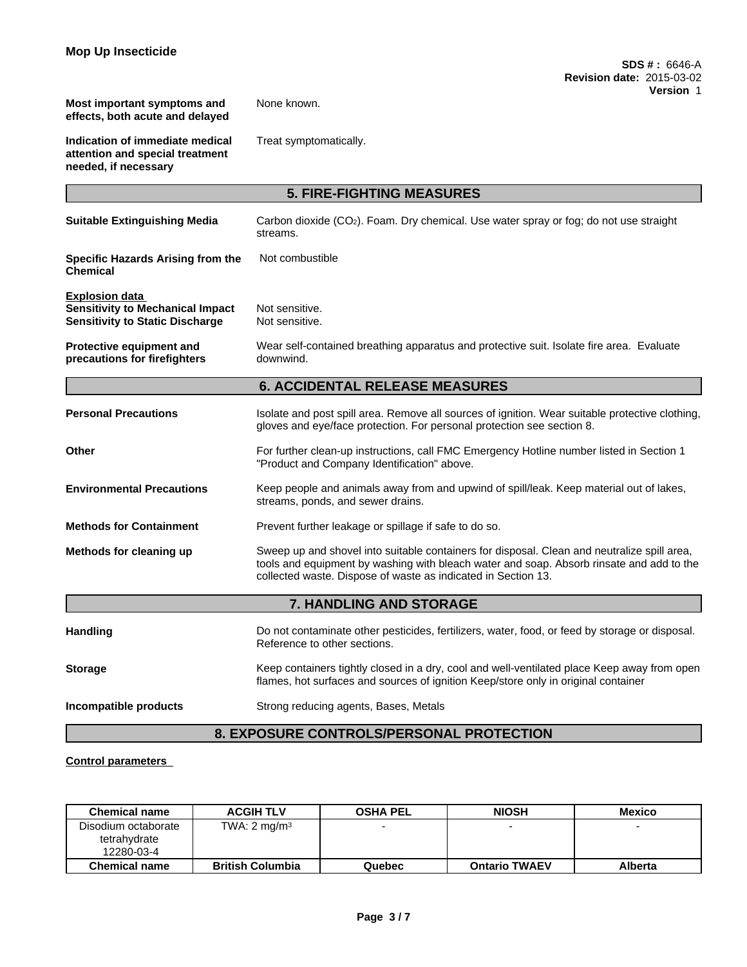**Most important symptoms and effects, both acute and delayed**

None known.

**Indication of immediate medical attention and special treatment needed, if necessary**

Treat symptomatically.

| <b>5. FIRE-FIGHTING MEASURES</b>                                                                           |                                                                                                                                                                                                                                                          |  |
|------------------------------------------------------------------------------------------------------------|----------------------------------------------------------------------------------------------------------------------------------------------------------------------------------------------------------------------------------------------------------|--|
| <b>Suitable Extinguishing Media</b>                                                                        | Carbon dioxide (CO <sub>2</sub> ). Foam. Dry chemical. Use water spray or fog; do not use straight<br>streams.                                                                                                                                           |  |
| Specific Hazards Arising from the<br><b>Chemical</b>                                                       | Not combustible                                                                                                                                                                                                                                          |  |
| <b>Explosion data</b><br><b>Sensitivity to Mechanical Impact</b><br><b>Sensitivity to Static Discharge</b> | Not sensitive.<br>Not sensitive.                                                                                                                                                                                                                         |  |
| Protective equipment and<br>precautions for firefighters                                                   | Wear self-contained breathing apparatus and protective suit. Isolate fire area. Evaluate<br>downwind.                                                                                                                                                    |  |
|                                                                                                            | <b>6. ACCIDENTAL RELEASE MEASURES</b>                                                                                                                                                                                                                    |  |
| <b>Personal Precautions</b>                                                                                | Isolate and post spill area. Remove all sources of ignition. Wear suitable protective clothing,<br>gloves and eye/face protection. For personal protection see section 8.                                                                                |  |
| Other                                                                                                      | For further clean-up instructions, call FMC Emergency Hotline number listed in Section 1<br>"Product and Company Identification" above.                                                                                                                  |  |
| <b>Environmental Precautions</b>                                                                           | Keep people and animals away from and upwind of spill/leak. Keep material out of lakes,<br>streams, ponds, and sewer drains.                                                                                                                             |  |
| <b>Methods for Containment</b>                                                                             | Prevent further leakage or spillage if safe to do so.                                                                                                                                                                                                    |  |
| Methods for cleaning up                                                                                    | Sweep up and shovel into suitable containers for disposal. Clean and neutralize spill area,<br>tools and equipment by washing with bleach water and soap. Absorb rinsate and add to the<br>collected waste. Dispose of waste as indicated in Section 13. |  |
|                                                                                                            | 7. HANDLING AND STORAGE                                                                                                                                                                                                                                  |  |
| <b>Handling</b>                                                                                            | Do not contaminate other pesticides, fertilizers, water, food, or feed by storage or disposal.<br>Reference to other sections.                                                                                                                           |  |
| <b>Storage</b>                                                                                             | Keep containers tightly closed in a dry, cool and well-ventilated place Keep away from open<br>flames, hot surfaces and sources of ignition Keep/store only in original container                                                                        |  |
| Incompatible products                                                                                      | Strong reducing agents, Bases, Metals                                                                                                                                                                                                                    |  |
|                                                                                                            | <b>8. EXPOSURE CONTROLS/PERSONAL PROTECTION</b>                                                                                                                                                                                                          |  |

# **Control parameters**

| <b>Chemical name</b>                | <b>ACGIH TLV</b>        | <b>OSHA PEL</b> | <b>NIOSH</b>         | <b>Mexico</b> |
|-------------------------------------|-------------------------|-----------------|----------------------|---------------|
| Disodium octaborate<br>tetrahydrate | TWA: $2 \text{ mg/m}^3$ |                 | -                    |               |
| 12280-03-4                          |                         |                 |                      |               |
| <b>Chemical name</b>                | <b>British Columbia</b> | Quebec          | <b>Ontario TWAEV</b> | Alberta       |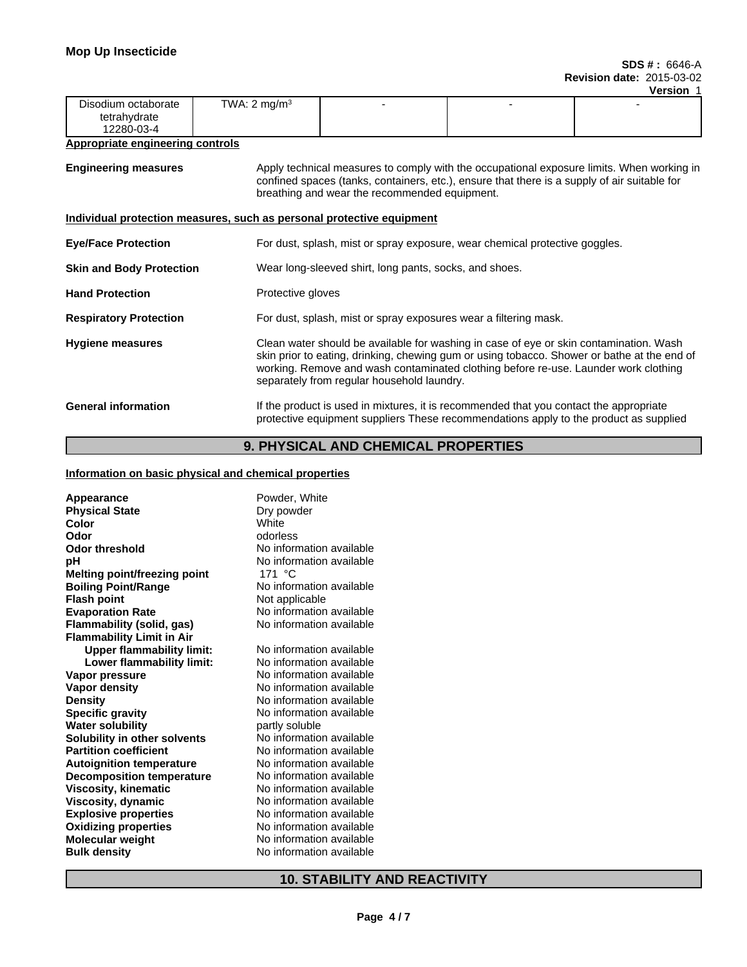|                     |                         |  | ---------- |
|---------------------|-------------------------|--|------------|
| Disodium octaborate | TWA: $2 \text{ mg/m}^3$ |  |            |
| tetrahydrate        |                         |  |            |
| 12280-03-4          |                         |  |            |

#### **Appropriate engineering controls**

**Engineering measures** Apply technical measures to comply with the occupational exposure limits. When working in confined spaces (tanks, containers, etc.), ensure that there is a supply of air suitable for breathing and wear the recommended equipment.

#### **Individual protection measures, such as personal protective equipment**

| <b>Eye/Face Protection</b>      | For dust, splash, mist or spray exposure, wear chemical protective goggles.                                                                                                                                                                                                                                                |
|---------------------------------|----------------------------------------------------------------------------------------------------------------------------------------------------------------------------------------------------------------------------------------------------------------------------------------------------------------------------|
| <b>Skin and Body Protection</b> | Wear long-sleeved shirt, long pants, socks, and shoes.                                                                                                                                                                                                                                                                     |
| <b>Hand Protection</b>          | Protective gloves                                                                                                                                                                                                                                                                                                          |
| <b>Respiratory Protection</b>   | For dust, splash, mist or spray exposures wear a filtering mask.                                                                                                                                                                                                                                                           |
| <b>Hygiene measures</b>         | Clean water should be available for washing in case of eye or skin contamination. Wash<br>skin prior to eating, drinking, chewing gum or using tobacco. Shower or bathe at the end of<br>working. Remove and wash contaminated clothing before re-use. Launder work clothing<br>separately from regular household laundry. |
| <b>General information</b>      | If the product is used in mixtures, it is recommended that you contact the appropriate<br>protective equipment suppliers These recommendations apply to the product as supplied                                                                                                                                            |

# **9. PHYSICAL AND CHEMICAL PROPERTIES**

#### **Information on basic physical and chemical properties**

| Appearance                          | Powder, White            |
|-------------------------------------|--------------------------|
| <b>Physical State</b>               | Dry powder<br>White      |
| Color                               |                          |
| Odor                                | odorless                 |
| <b>Odor threshold</b>               | No information available |
| рH                                  | No information available |
| <b>Melting point/freezing point</b> | 171 °C                   |
| <b>Boiling Point/Range</b>          | No information available |
| <b>Flash point</b>                  | Not applicable           |
| <b>Evaporation Rate</b>             | No information available |
| Flammability (solid, gas)           | No information available |
| <b>Flammability Limit in Air</b>    |                          |
| <b>Upper flammability limit:</b>    | No information available |
| Lower flammability limit:           | No information available |
| Vapor pressure                      | No information available |
| Vapor density                       | No information available |
| <b>Density</b>                      | No information available |
| <b>Specific gravity</b>             | No information available |
| <b>Water solubility</b>             | partly soluble           |
| Solubility in other solvents        | No information available |
| <b>Partition coefficient</b>        | No information available |
| <b>Autoignition temperature</b>     | No information available |
| <b>Decomposition temperature</b>    | No information available |
| <b>Viscosity, kinematic</b>         | No information available |
| <b>Viscosity, dynamic</b>           | No information available |
| <b>Explosive properties</b>         | No information available |
| <b>Oxidizing properties</b>         | No information available |
| <b>Molecular weight</b>             | No information available |
| <b>Bulk density</b>                 | No information available |
|                                     |                          |

# **10. STABILITY AND REACTIVITY**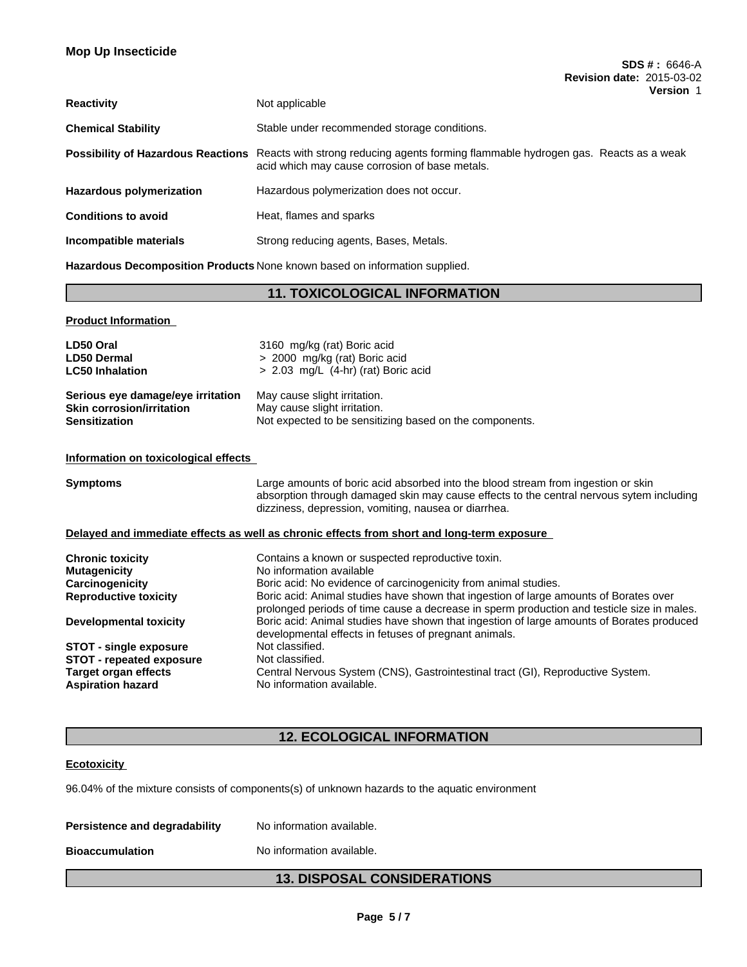| <b>Reactivity</b>          | Not applicable                                                                                                                                                           |
|----------------------------|--------------------------------------------------------------------------------------------------------------------------------------------------------------------------|
| <b>Chemical Stability</b>  | Stable under recommended storage conditions.                                                                                                                             |
|                            | Possibility of Hazardous Reactions Reacts with strong reducing agents forming flammable hydrogen gas. Reacts as a weak<br>acid which may cause corrosion of base metals. |
| Hazardous polymerization   | Hazardous polymerization does not occur.                                                                                                                                 |
| <b>Conditions to avoid</b> | Heat, flames and sparks                                                                                                                                                  |
| Incompatible materials     | Strong reducing agents, Bases, Metals.                                                                                                                                   |

**Hazardous Decomposition Products** None known based on information supplied.

# **11. TOXICOLOGICAL INFORMATION**

| <b>Product Information</b>        |                                                         |
|-----------------------------------|---------------------------------------------------------|
| LD50 Oral                         | 3160 mg/kg (rat) Boric acid                             |
| <b>LD50 Dermal</b>                | > 2000 mg/kg (rat) Boric acid                           |
| <b>LC50 Inhalation</b>            | $> 2.03$ mg/L (4-hr) (rat) Boric acid                   |
| Serious eye damage/eye irritation | May cause slight irritation.                            |
| <b>Skin corrosion/irritation</b>  | May cause slight irritation.                            |
| <b>Sensitization</b>              | Not expected to be sensitizing based on the components. |

#### **Information on toxicological effects**

| <b>Symptoms</b>                 | Large amounts of boric acid absorbed into the blood stream from ingestion or skin<br>absorption through damaged skin may cause effects to the central nervous sytem including<br>dizziness, depression, vomiting, nausea or diarrhea. |  |  |  |
|---------------------------------|---------------------------------------------------------------------------------------------------------------------------------------------------------------------------------------------------------------------------------------|--|--|--|
|                                 | Delayed and immediate effects as well as chronic effects from short and long-term exposure                                                                                                                                            |  |  |  |
| <b>Chronic toxicity</b>         | Contains a known or suspected reproductive toxin.                                                                                                                                                                                     |  |  |  |
| <b>Mutagenicity</b>             | No information available                                                                                                                                                                                                              |  |  |  |
| Carcinogenicity                 | Boric acid: No evidence of carcinogenicity from animal studies.                                                                                                                                                                       |  |  |  |
| <b>Reproductive toxicity</b>    | Boric acid: Animal studies have shown that ingestion of large amounts of Borates over<br>prolonged periods of time cause a decrease in sperm production and testicle size in males.                                                   |  |  |  |
| <b>Developmental toxicity</b>   | Boric acid: Animal studies have shown that ingestion of large amounts of Borates produced<br>developmental effects in fetuses of pregnant animals.                                                                                    |  |  |  |
| <b>STOT - single exposure</b>   | Not classified.                                                                                                                                                                                                                       |  |  |  |
| <b>STOT - repeated exposure</b> | Not classified.                                                                                                                                                                                                                       |  |  |  |
| Target organ effects            | Central Nervous System (CNS), Gastrointestinal tract (GI), Reproductive System.                                                                                                                                                       |  |  |  |
| <b>Aspiration hazard</b>        | No information available.                                                                                                                                                                                                             |  |  |  |

# **12. ECOLOGICAL INFORMATION**

## **Ecotoxicity**

96.04% of the mixture consists of components(s) of unknown hazards to the aquatic environment

| Persistence and degradability | No information available. |
|-------------------------------|---------------------------|
| <b>Bioaccumulation</b>        | No information available. |

# **13. DISPOSAL CONSIDERATIONS**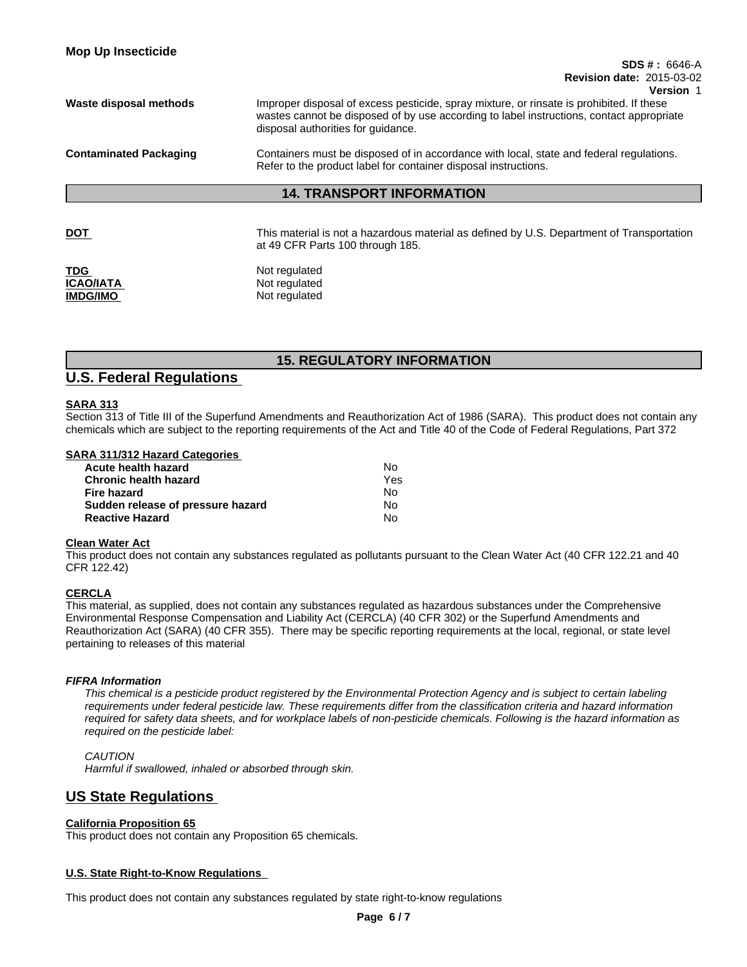| <b>Mop Up Insecticide</b>     | $SDS # : 6646-A$<br><b>Revision date: 2015-03-02</b><br>Version 1                                                                                                                                                          |  |
|-------------------------------|----------------------------------------------------------------------------------------------------------------------------------------------------------------------------------------------------------------------------|--|
| Waste disposal methods        | Improper disposal of excess pesticide, spray mixture, or rinsate is prohibited. If these<br>wastes cannot be disposed of by use according to label instructions, contact appropriate<br>disposal authorities for guidance. |  |
| <b>Contaminated Packaging</b> | Containers must be disposed of in accordance with local, state and federal regulations.<br>Refer to the product label for container disposal instructions.                                                                 |  |
|                               | <b>14. TRANSPORT INFORMATION</b>                                                                                                                                                                                           |  |

**DOT This material is not a hazardous material as defined by U.S. Department of Transportation** at 49 CFR Parts 100 through 185.

**TDG** Not regulated **ICAO/IATA** Not regulated **IMDG/IMO** Not regulated

# **15. REGULATORY INFORMATION**

# **U.S. Federal Regulations**

## **SARA 313**

Section 313 of Title III of the Superfund Amendments and Reauthorization Act of 1986 (SARA). This product does not contain any chemicals which are subject to the reporting requirements of the Act and Title 40 of the Code of Federal Regulations, Part 372

### **SARA 311/312 Hazard Categories**

| Acute health hazard               | No. |  |
|-----------------------------------|-----|--|
| <b>Chronic health hazard</b>      | Yes |  |
| Fire hazard                       | N٥  |  |
| Sudden release of pressure hazard | No. |  |
| <b>Reactive Hazard</b>            | N٥  |  |

#### **Clean Water Act**

This product does not contain any substances regulated as pollutants pursuant to the Clean Water Act (40 CFR 122.21 and 40 CFR 122.42)

# **CERCLA**

This material, as supplied, does not contain any substances regulated as hazardous substances under the Comprehensive Environmental Response Compensation and Liability Act (CERCLA) (40 CFR 302) or the Superfund Amendments and Reauthorization Act (SARA) (40 CFR 355). There may be specific reporting requirements at the local, regional, or state level pertaining to releases of this material

#### *FIFRA Information*

*This chemical is a pesticide product registered by the Environmental Protection Agency and is subject to certain labeling requirements under federal pesticide law. These requirements differ from the classification criteria and hazard information required for safety data sheets, and for workplace labels of non-pesticide chemicals. Following is the hazard information as required on the pesticide label:*

*CAUTION Harmful if swallowed, inhaled or absorbed through skin.*

# **US State Regulations**

## **California Proposition 65**

This product does not contain any Proposition 65 chemicals.

## **U.S. State Right-to-Know Regulations**

This product does not contain any substances regulated by state right-to-know regulations